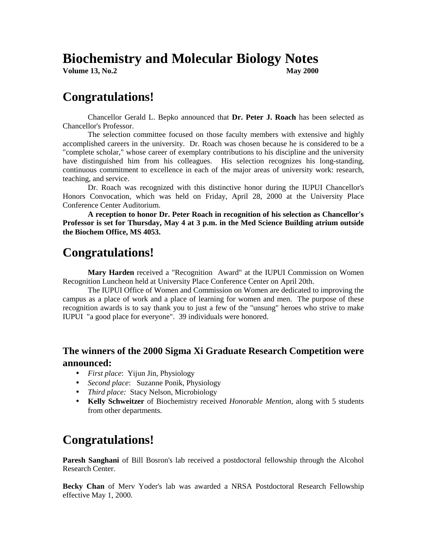# **Biochemistry and Molecular Biology Notes**<br>Volume 13, No.2<br>Rav 2000

**Volume 13, No.2** 

## **Congratulations!**

 Chancellor Gerald L. Bepko announced that **Dr. Peter J. Roach** has been selected as Chancellor's Professor.

 The selection committee focused on those faculty members with extensive and highly accomplished careers in the university. Dr. Roach was chosen because he is considered to be a "complete scholar," whose career of exemplary contributions to his discipline and the university have distinguished him from his colleagues. His selection recognizes his long-standing, continuous commitment to excellence in each of the major areas of university work: research, teaching, and service.

 Dr. Roach was recognized with this distinctive honor during the IUPUI Chancellor's Honors Convocation, which was held on Friday, April 28, 2000 at the University Place Conference Center Auditorium.

 **A reception to honor Dr. Peter Roach in recognition of his selection as Chancellor's Professor is set for Thursday, May 4 at 3 p.m. in the Med Science Building atrium outside the Biochem Office, MS 4053.** 

# **Congratulations!**

 **Mary Harden** received a "Recognition Award" at the IUPUI Commission on Women Recognition Luncheon held at University Place Conference Center on April 20th.

 The IUPUI Office of Women and Commission on Women are dedicated to improving the campus as a place of work and a place of learning for women and men. The purpose of these recognition awards is to say thank you to just a few of the "unsung" heroes who strive to make IUPUI "a good place for everyone". 39 individuals were honored.

#### **The winners of the 2000 Sigma Xi Graduate Research Competition were announced:**

- *First place*: Yijun Jin, Physiology
- *Second place*: Suzanne Ponik, Physiology
- *Third place:* Stacy Nelson, Microbiology
- **Kelly Schweitzer** of Biochemistry received *Honorable Mention*, along with 5 students from other departments.

# **Congratulations!**

**Paresh Sanghani** of Bill Bosron's lab received a postdoctoral fellowship through the Alcohol Research Center.

**Becky Chan** of Merv Yoder's lab was awarded a NRSA Postdoctoral Research Fellowship effective May 1, 2000.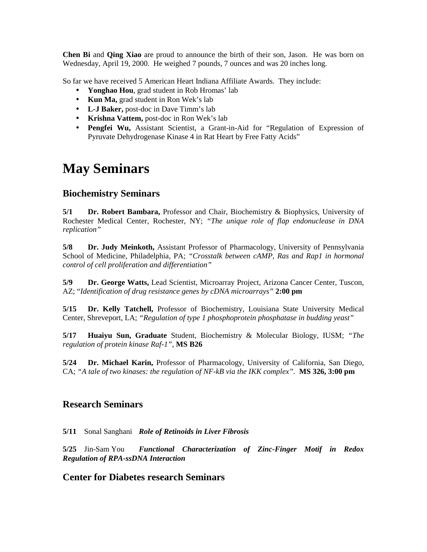**Chen Bi** and **Qing Xiao** are proud to announce the birth of their son, Jason. He was born on Wednesday, April 19, 2000. He weighed 7 pounds, 7 ounces and was 20 inches long.

So far we have received 5 American Heart Indiana Affiliate Awards. They include:

- **Yonghao Hou**, grad student in Rob Hromas' lab
- **Kun Ma,** grad student in Ron Wek's lab
- **L-J Baker,** post-doc in Dave Timm's lab
- **Krishna Vattem,** post-doc in Ron Wek's lab
- **Pengfei Wu,** Assistant Scientist, a Grant-in-Aid for "Regulation of Expression of Pyruvate Dehydrogenase Kinase 4 in Rat Heart by Free Fatty Acids"

# **May Seminars**

#### **Biochemistry Seminars**

**5/1 Dr. Robert Bambara,** Professor and Chair, Biochemistry & Biophysics, University of Rochester Medical Center, Rochester, NY; *"The unique role of flap endonuclease in DNA replication"*

**5/8 Dr. Judy Meinkoth,** Assistant Professor of Pharmacology, University of Pennsylvania School of Medicine, Philadelphia, PA; *"Crosstalk between cAMP, Ras and Rap1 in hormonal control of cell proliferation and differentiation"*

**5/9 Dr. George Watts,** Lead Scientist, Microarray Project, Arizona Cancer Center, Tuscon, AZ; "*Identification of drug resistance genes by cDNA microarrays"* **2:00 pm** 

**5/15 Dr. Kelly Tatchell,** Professor of Biochemistry, Louisiana State University Medical Center, Shreveport, LA; *"Regulation of type 1 phosphoprotein phosphatase in budding yeast"* 

**5/17 Huaiyu Sun, Graduate** Student, Biochemistry & Molecular Biology, IUSM; *"The regulation of protein kinase Raf-1",* **MS B26** 

**5/24 Dr. Michael Karin,** Professor of Pharmacology, University of California, San Diego, CA; *"A tale of two kinases: the regulation of NF-kB via the IKK complex".* **MS 326, 3:00 pm** 

#### **Research Seminars**

**5/11** Sonal Sanghani *Role of Retinoids in Liver Fibrosis* 

**5/25** Jin-Sam You *Functional Characterization of Zinc-Finger Motif in Redox Regulation of RPA-ssDNA Interaction* 

#### **Center for Diabetes research Seminars**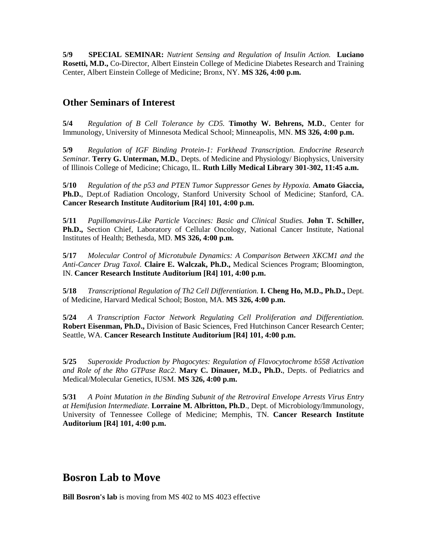**5/9 SPECIAL SEMINAR:** *Nutrient Sensing and Regulation of Insulin Action.* **Luciano Rosetti, M.D.,** Co-Director, Albert Einstein College of Medicine Diabetes Research and Training Center, Albert Einstein College of Medicine; Bronx, NY. **MS 326, 4:00 p.m.** 

#### **Other Seminars of Interest**

**5/4** *Regulation of B Cell Tolerance by CD5.* **Timothy W. Behrens, M.D.**, Center for Immunology, University of Minnesota Medical School; Minneapolis, MN. **MS 326, 4:00 p.m.** 

**5/9** *Regulation of IGF Binding Protein-1: Forkhead Transcription. Endocrine Research Seminar.* **Terry G. Unterman, M.D.**, Depts. of Medicine and Physiology/ Biophysics, University of Illinois College of Medicine; Chicago, IL. **Ruth Lilly Medical Library 301-302, 11:45 a.m.** 

**5/10** *Regulation of the p53 and PTEN Tumor Suppressor Genes by Hypoxia.* **Amato Giaccia, Ph.D.**, Dept.of Radiation Oncology, Stanford University School of Medicine; Stanford, CA. **Cancer Research Institute Auditorium [R4] 101, 4:00 p.m.** 

**5/11** *Papillomavirus-Like Particle Vaccines: Basic and Clinical Studies.* **John T. Schiller, Ph.D.,** Section Chief, Laboratory of Cellular Oncology, National Cancer Institute, National Institutes of Health; Bethesda, MD. **MS 326, 4:00 p.m.** 

**5/17** *Molecular Control of Microtubule Dynamics: A Comparison Between XKCM1 and the Anti-Cancer Drug Taxol.* **Claire E. Walczak, Ph.D.,** Medical Sciences Program; Bloomington, IN. **Cancer Research Institute Auditorium [R4] 101, 4:00 p.m.** 

**5/18** *Transcriptional Regulation of Th2 Cell Differentiation.* **I. Cheng Ho, M.D., Ph.D.,** Dept. of Medicine, Harvard Medical School; Boston, MA. **MS 326, 4:00 p.m.** 

**5/24** *A Transcription Factor Network Regulating Cell Proliferation and Differentiation.*  **Robert Eisenman, Ph.D.,** Division of Basic Sciences, Fred Hutchinson Cancer Research Center; Seattle, WA. **Cancer Research Institute Auditorium [R4] 101, 4:00 p.m.** 

**5/25** *Superoxide Production by Phagocytes: Regulation of Flavocytochrome b558 Activation and Role of the Rho GTPase Rac2.* **Mary C. Dinauer, M.D., Ph.D.**, Depts. of Pediatrics and Medical/Molecular Genetics, IUSM. **MS 326, 4:00 p.m.** 

**5/31** *A Point Mutation in the Binding Subunit of the Retroviral Envelope Arrests Virus Entry at Hemifusion Intermediate.* **Lorraine M. Albritton, Ph.D**., Dept. of Microbiology/Immunology, University of Tennessee College of Medicine; Memphis, TN. **Cancer Research Institute Auditorium [R4] 101, 4:00 p.m.**

### **Bosron Lab to Move**

**Bill Bosron's lab** is moving from MS 402 to MS 4023 effective